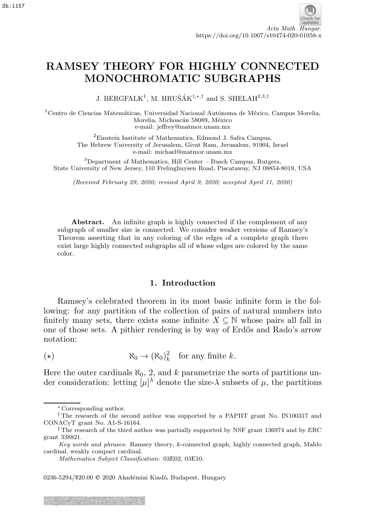# RAMSEY THEORY FOR HIGHLY CONNECTED MONOCHROMATIC SUBGRAPHS

J. BERGFALK<sup>1</sup>, M. HRUŠÁK<sup>1,\*,†</sup> and S. SHELAH<sup>2,3,‡</sup>

 $1$ Centro de Ciencias Matemáticas, Universidad Nacional Autónoma de México, Campus Morelia, Morelia, Michoacán 58089, México e-mail: jeffrey@matmor.unam.mx

> <sup>2</sup>Einstein Institute of Mathematics, Edmond J. Safra Campus, The Hebrew University of Jerusalem, Givat Ram, Jerusalem, 91904, Israel e-mail: michael@matmor.unam.mx

<sup>3</sup>Department of Mathematics, Hill Center – Busch Campus, Rutgers, State University of New Jersey, 110 Frelinghuysen Road, Piscataway, NJ 08854-8019, USA

(Received February 29, 2020; revised April 9, 2020; accepted April 11, 2020)

Abstract. An infinite graph is highly connected if the complement of any subgraph of smaller size is connected. We consider weaker versions of Ramsey's Theorem asserting that in any coloring of the edges of a complete graph there exist large highly connected subgraphs all of whose edges are colored by the same color.

## 1. Introduction

Ramsey's celebrated theorem in its most basic infinite form is the following: for any partition of the collection of pairs of natural numbers into finitely many sets, there exists some infinite  $X \subseteq \mathbb{N}$  whose pairs all fall in one of those sets. A pithier rendering is by way of Erdős and Rado's arrow notation:

( $\star$ )  $\aleph_0 \to (\aleph_0)_k^2$  for any finite k.

Here the outer cardinals  $\aleph_0$ , 2, and k parametrize the sorts of partitions under consideration: letting  $[\mu]^{\lambda}$  denote the size- $\lambda$  subsets of  $\mu$ , the partitions

0236-5294/\$20.00 © 2020 Akadémiai Kiadó, Budapest, Hungary

<sup>∗</sup> Corresponding author.

<sup>†</sup> The research of the second author was supported by a PAPIIT grant No. IN100317 and CONACyT grant No. A1-S-16164.

<sup>‡</sup> The research of the third author was partially supported by NSF grant 136974 and by ERC grant 338821.

Key words and phrases: Ramsey theory, k-connected graph, highly connected graph, Mahlo cardinal, weakly compact cardinal.

Mathematics Subject Classification: 03E02, 03E10.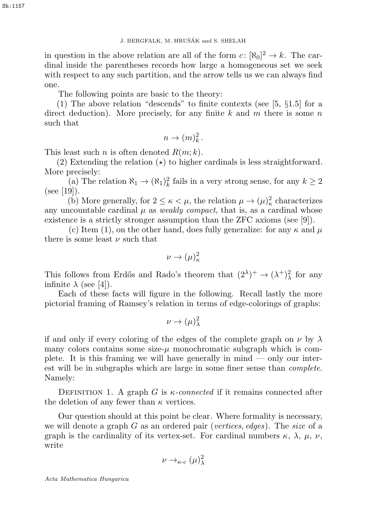in question in the above relation are all of the form  $c: [\aleph_0]^2 \to k$ . The cardinal inside the parentheses records how large a homogeneous set we seek with respect to any such partition, and the arrow tells us we can always find one.

The following points are basic to the theory:

(1) The above relation "descends" to finite contexts (see [5, §1.5] for a direct deduction). More precisely, for any finite  $k$  and  $m$  there is some  $n$ such that

$$
n \to (m)_k^2.
$$

This least such *n* is often denoted  $R(m;k)$ .

(2) Extending the relation  $\star$ ) to higher cardinals is less straightforward. More precisely:

(a) The relation  $\aleph_1 \to (\aleph_1)_k^2$  fails in a very strong sense, for any  $k \geq 2$  $(see [19]).$ 

(b) More generally, for  $2 \leq \kappa < \mu$ , the relation  $\mu \to (\mu)^2_{\kappa}$  characterizes any uncountable cardinal  $\mu$  as *weakly compact*, that is, as a cardinal whose existence is a strictly stronger assumption than the ZFC axioms (see [9]).

(c) Item (1), on the other hand, does fully generalize: for any  $\kappa$  and  $\mu$ there is some least  $\nu$  such that

$$
\nu \to (\mu)^2_\kappa
$$

This follows from Erdős and Rado's theorem that  $(2^{\lambda})^+ \rightarrow (\lambda^+)^2_{\lambda}$  for any infinite  $\lambda$  (see [4]).

Each of these facts will figure in the following. Recall lastly the more pictorial framing of Ramsey's relation in terms of edge-colorings of graphs:

$$
\nu \to (\mu)^2_\lambda
$$

if and only if every coloring of the edges of the complete graph on  $\nu$  by  $\lambda$ many colors contains some size- $\mu$  monochromatic subgraph which is complete. It is this framing we will have generally in  $\text{mind}$  — only our interest will be in subgraphs which are large in some finer sense than complete. Namely: 3. BERGFALK, M. HRUŠÁK and S. SHELAH<br>
dinal inside the howe relation are all of the form c:<br>
dinal inside the parentheses records low large a home,<br>
with respect to any such partition, and the arrow tells<br>
one.<br>
The follo

DEFINITION 1. A graph G is  $\kappa$ -connected if it remains connected after the deletion of any fewer than  $\kappa$  vertices.

Our question should at this point be clear. Where formality is necessary, we will denote a graph  $G$  as an ordered pair (vertices, edges). The size of a graph is the cardinality of its vertex-set. For cardinal numbers  $\kappa$ ,  $\lambda$ ,  $\mu$ ,  $\nu$ , write

$$
\nu \to_{\kappa \text{-}c} (\mu)^2_\lambda
$$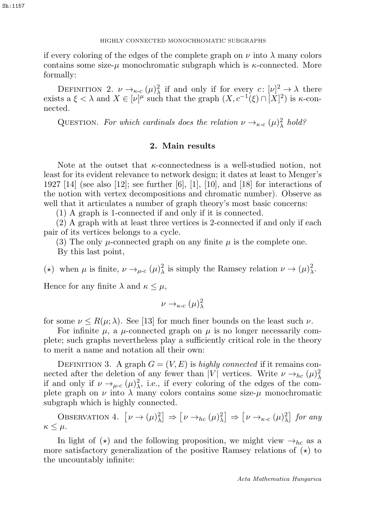if every coloring of the edges of the complete graph on  $\nu$  into  $\lambda$  many colors contains some size- $\mu$  monochromatic subgraph which is  $\kappa$ -connected. More formally:

DEFINITION 2.  $\nu \rightarrow_{\kappa \text{-}c} (\mu)^2_{\lambda}$  if and only if for every  $c: [\nu]^2 \rightarrow \lambda$  there exists a  $\xi < \lambda$  and  $X \in [\nu]^{\mu}$  such that the graph  $(X, c^{-1}(\xi) \cap [X]^2)$  is  $\kappa$ -connected.

QUESTION. For which cardinals does the relation  $\nu \rightarrow_{\kappa \text{-}c} (\mu)^2_{\lambda}$  hold?

## 2. Main results

Note at the outset that  $\kappa$ -connectedness is a well-studied notion, not least for its evident relevance to network design; it dates at least to Menger's 1927 [14] (see also [12]; see further  $[6]$ , [1], [10], and [18] for interactions of the notion with vertex decompositions and chromatic number). Observe as well that it articulates a number of graph theory's most basic concerns:

(1) A graph is 1-connected if and only if it is connected.

(2) A graph with at least three vertices is 2-connected if and only if each pair of its vertices belongs to a cycle.

(3) The only  $\mu$ -connected graph on any finite  $\mu$  is the complete one.

By this last point,

(\*) when  $\mu$  is finite,  $\nu \rightarrow_{\mu-c} (\mu)^2_\lambda$  is simply the Ramsey relation  $\nu \rightarrow (\mu)^2_\lambda$ .

Hence for any finite  $\lambda$  and  $\kappa \leq \mu$ ,

$$
\nu \to_{\kappa \text{-}c} (\mu)^2_\lambda
$$

for some  $\nu \leq R(\mu;\lambda)$ . See [13] for much finer bounds on the least such  $\nu$ .

For infinite  $\mu$ , a  $\mu$ -connected graph on  $\mu$  is no longer necessarily complete; such graphs nevertheless play a sufficiently critical role in the theory to merit a name and notation all their own:

DEFINITION 3. A graph  $G = (V, E)$  is highly connected if it remains connected after the deletion of any fewer than |V| vertices. Write  $\nu \rightarrow_{hc} (\mu)^2_{\lambda}$ if and only if  $\nu \rightarrow_{\mu \nc} (\mu)^2$ , i.e., if every coloring of the edges of the complete graph on  $\nu$  into  $\lambda$  many colors contains some size- $\mu$  monochromatic subgraph which is highly connected.

OBSERVATION 4.  $[\nu \to (\mu)^2_\lambda] \Rightarrow [\nu \to_{hc} (\mu)^2_\lambda] \Rightarrow [\nu \to_{\kappa-c} (\mu)^2_\lambda]$  for any  $\kappa \leq \mu$ .

In light of  $(\star)$  and the following proposition, we might view  $\rightarrow_{hc}$  as a more satisfactory generalization of the positive Ramsey relations of  $(\star)$  to the uncountably infinite: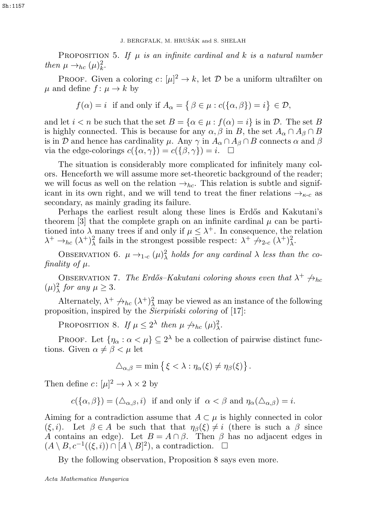PROPOSITION 5. If  $\mu$  is an infinite cardinal and k is a natural number then  $\mu \rightarrow_{hc} (\mu)_k^2$ .

**PROOF.** Given a coloring  $c: [\mu]^2 \to k$ , let  $\mathcal{D}$  be a uniform ultrafilter on  $\mu$  and define  $f: \mu \to k$  by

$$
f(\alpha) = i
$$
 if and only if  $A_{\alpha} = \{ \beta \in \mu : c(\{\alpha, \beta\}) = i \} \in \mathcal{D}$ ,

and let  $i < n$  be such that the set  $B = \{ \alpha \in \mu : f(\alpha) = i \}$  is in D. The set B is highly connected. This is because for any  $\alpha, \beta$  in B, the set  $A_{\alpha} \cap A_{\beta} \cap B$ is in D and hence has cardinality  $\mu$ . Any  $\gamma$  in  $A_{\alpha} \cap A_{\beta} \cap B$  connects  $\alpha$  and  $\beta$ via the edge-colorings  $c({\alpha, \gamma}) = c({\beta, \gamma}) = i$ .  $\Box$ 

The situation is considerably more complicated for infinitely many colors. Henceforth we will assume more set-theoretic background of the reader; we will focus as well on the relation  $\rightarrow_{hc}$ . This relation is subtle and significant in its own right, and we will tend to treat the finer relations  $\rightarrow_{\kappa\text{-}c}$  as secondary, as mainly grading its failure. 3. BERGFALK, M. HRUŠÁK and S. SHELAH<br> *Hen*  $\mu \rightarrow_{hc} (\mu)_k^2$ .<br>
PROPOSITION 5. If  $\mu$  is an infinite cardinal and k<br> *u* and define  $f: \mu \rightarrow k$  by<br>
PROOF. Given a coloring  $c: [\mu]^2 \rightarrow k$ , let  $\mathcal{D}$  be a  $\mu$ <br>
and define  $f: \$ 

Perhaps the earliest result along these lines is Erdős and Kakutani's theorem [3] that the complete graph on an infinite cardinal  $\mu$  can be partitioned into  $\lambda$  many trees if and only if  $\mu \leq \lambda^+$ . In consequence, the relation  $\lambda^+ \to_{hc} (\lambda^+)^2_{\lambda}$  fails in the strongest possible respect:  $\lambda^+ \not\to_{2-c} (\lambda^+)^2_{\lambda}$ .

OBSERVATION 6.  $\mu \rightarrow_{1-c} (\mu)^2_{\lambda}$  holds for any cardinal  $\lambda$  less than the cofinality of µ.

OBSERVATION 7. The Erdős–Kakutani coloring shows even that  $\lambda^+$   $\leftrightarrow$ hc  $(\mu)^2_{\lambda}$  for any  $\mu \geq 3$ .

Alternately,  $\lambda^+ \nrightarrow h_c (\lambda^+)^2$  may be viewed as an instance of the following proposition, inspired by the  $\hat{S}$ ierpiński coloring of [17]:

PROPOSITION 8. If  $\mu \leq 2^{\lambda}$  then  $\mu \not\rightarrow_{hc} (\mu)^2_{\lambda}$ .

PROOF. Let  $\{\eta_{\alpha} : \alpha < \mu\} \subseteq 2^{\lambda}$  be a collection of pairwise distinct functions. Given  $\alpha \neq \beta < \mu$  let

$$
\Delta_{\alpha,\beta} = \min \{ \xi < \lambda : \eta_\alpha(\xi) \neq \eta_\beta(\xi) \}.
$$

Then define  $c: [\mu]^2 \to \lambda \times 2$  by

$$
c(\{\alpha,\beta\})=(\Delta_{\alpha,\beta},i) \text{ if and only if } \alpha < \beta \text{ and } \eta_{\alpha}(\Delta_{\alpha,\beta})=i.
$$

Aiming for a contradiction assume that  $A \subset \mu$  is highly connected in color  $(\xi, i)$ . Let  $\beta \in A$  be such that that  $\eta_{\beta}(\xi) \neq i$  (there is such a  $\beta$  since A contains an edge). Let  $B = A \cap \beta$ . Then  $\beta$  has no adjacent edges in  $(A \setminus B, c^{-1}((\xi, i)) \cap [A \setminus B]^2)$ , a contradiction.  $\Box$ 

By the following observation, Proposition 8 says even more.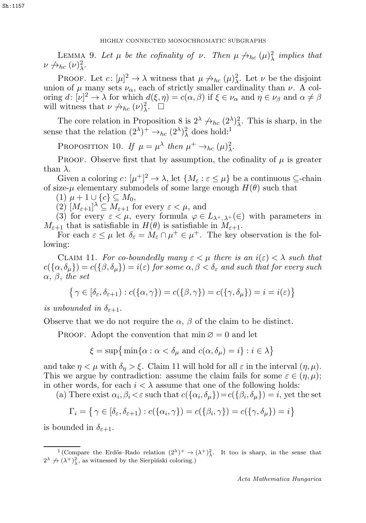# HIGHLY CONNECTED MONOCHROMATIC SUBGRAPHS

LEMMA 9. Let  $\mu$  be the cofinality of  $\nu$ . Then  $\mu \nrightarrow_{hc} (\mu)^2_{\lambda}$  implies that  $\nu \nrightarrow_{hc} (\nu)^2_{\lambda}.$ 

PROOF. Let  $c: [\mu]^2 \to \lambda$  witness that  $\mu \nrightarrow_{hc} (\mu)^2$ . Let  $\nu$  be the disjoint union of  $\mu$  many sets  $\nu_{\alpha}$ , each of strictly smaller cardinality than  $\nu$ . A coloring  $d: [\nu]^2 \to \lambda$  for which  $d(\xi, \eta) = c(\alpha, \beta)$  if  $\xi \in \nu_\alpha$  and  $\eta \in \nu_\beta$  and  $\alpha \neq \beta$ will witness that  $\nu \nrightarrow_{hc} (\nu)^2$ .  $\Box$ 

The core relation in Proposition 8 is  $2^{\lambda} \not\rightarrow_{hc} (2^{\lambda})^2$ . This is sharp, in the sense that the relation  $(2^{\lambda})^+ \rightarrow_{hc} (2^{\lambda})^2_{\lambda}$  does hold:<sup>1</sup>

PROPOSITION 10. If  $\mu = \mu^{\lambda}$  then  $\mu^+ \rightarrow_{hc} (\mu)^2_{\lambda}$ .

PROOF. Observe first that by assumption, the cofinality of  $\mu$  is greater than  $\lambda$ .

Given a coloring  $c: [\mu^+]^2 \to \lambda$ , let  $\{M_\varepsilon : \varepsilon \leq \mu\}$  be a continuous  $\subseteq$ -chain of size- $\mu$  elementary submodels of some large enough  $H(\theta)$  such that

(1)  $\mu + 1 \cup \{c\} \subseteq M_0$ ,

(2)  $[M_{\varepsilon+1}]^{\lambda} \subseteq M_{\varepsilon+1}$  for every  $\varepsilon < \mu$ , and

(3) for every  $\varepsilon < \mu$ , every formula  $\varphi \in L_{\lambda^+,\lambda^+}(\in)$  with parameters in  $M_{\varepsilon+1}$  that is satisfiable in  $H(\theta)$  is satisfiable in  $M_{\varepsilon+1}$ .

For each  $\varepsilon \leq \mu$  let  $\delta_{\varepsilon} = M_{\varepsilon} \cap \mu^+ \in \mu^+$ . The key observation is the following:

CLAIM 11. For co-boundedly many  $\varepsilon < \mu$  there is an  $i(\varepsilon) < \lambda$  such that  $c(\{\alpha,\delta_\mu\})=c(\{\beta,\delta_\mu\})=i(\varepsilon)$  for some  $\alpha,\beta<\delta_\varepsilon$  and such that for every such  $\alpha, \beta,$  the set

$$
\{ \gamma \in [\delta_{\varepsilon}, \delta_{\varepsilon + 1}) : c(\{\alpha, \gamma\}) = c(\{\beta, \gamma\}) = c(\{\gamma, \delta_{\mu}\}) = i = i(\varepsilon) \}
$$

is unbounded in  $\delta_{\varepsilon+1}$ .

Observe that we do not require the  $\alpha$ ,  $\beta$  of the claim to be distinct.

PROOF. Adopt the convention that  $\min \emptyset = 0$  and let

$$
\xi = \sup \{ \min \{ \alpha : \alpha < \delta_{\mu} \text{ and } c(\alpha, \delta_{\mu}) = i \} : i \in \lambda \}
$$

and take  $\eta < \mu$  with  $\delta_{\eta} > \xi$ . Claim 11 will hold for all  $\varepsilon$  in the interval  $(\eta, \mu)$ . This we argue by contradiction: assume the claim fails for some  $\varepsilon \in (\eta, \mu);$ in other words, for each  $i < \lambda$  assume that one of the following holds:

(a) There exist  $\alpha_i, \beta_i \leq \varepsilon$  such that  $c(\{\alpha_i, \delta_\mu\}) = c(\{\beta_i, \delta_\mu\}) = i$ , yet the set

$$
\Gamma_i = \left\{ \gamma \in [\delta_{\varepsilon}, \delta_{\varepsilon+1}) : c(\{\alpha_i, \gamma\}) = c(\{\beta_i, \gamma\}) = c(\{\gamma, \delta_\mu\}) = i \right\}
$$

is bounded in  $\delta_{\varepsilon+1}$ .

<sup>&</sup>lt;sup>1</sup> (Compare the Erdős–Rado relation  $(2^{\lambda})^+ \rightarrow (\lambda^+)^2_{\lambda}$ . It too is sharp, in the sense that  $2^{\lambda} \not\rightarrow (\lambda^+)^2_{\lambda}$ , as witnessed by the Sierpiński coloring.)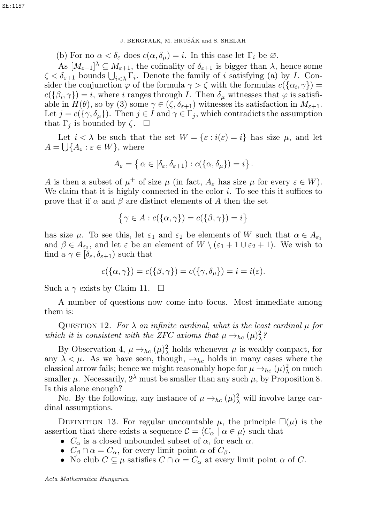J. BERGFALK, M. HRUŠÁK and S. SHELAH

(b) For no  $\alpha < \delta_{\varepsilon}$  does  $c(\alpha, \delta_{\mu}) = i$ . In this case let  $\Gamma_i$  be  $\varnothing$ .

As  $[M_{\varepsilon+1}]^{\lambda} \subseteq M_{\varepsilon+1}$ , the cofinality of  $\delta_{\varepsilon+1}$  is bigger than  $\lambda$ , hence some  $\zeta < \delta_{\varepsilon+1}$  bounds  $\bigcup_{i<\lambda} \Gamma_i$ . Denote the family of i satisfying (a) by I. Consider the conjunction  $\varphi$  of the formula  $\gamma > \zeta$  with the formulas  $c({\alpha_i}, \gamma)$  =  $c({\beta_i, \gamma}) = i$ , where i ranges through I. Then  $\delta_\mu$  witnesses that  $\varphi$  is satisfiable in  $H(\theta)$ , so by (3) some  $\gamma \in (\zeta, \delta_{\varepsilon+1})$  witnesses its satisfaction in  $M_{\varepsilon+1}$ . Let  $j = c({\lbrace \gamma, \delta_\mu \rbrace})$ . Then  $j \in I$  and  $\gamma \in \Gamma_j$ , which contradicts the assumption that  $\Gamma_j$  is bounded by  $\zeta$ .  $\Box$ J. BERGFALK, M. HRUŠÁK and S. SHELAH<br>
As  $[M_{t+1}]$ <sup> $\lambda \subseteq M_{\xi+1}$ , the cofinality of  $\delta_{t+1}$  is bigger<br>  $\zeta < \delta_{t+1}$  bounds  $\bigcup_{i<\lambda} \Gamma_i$ . Denote the family of  $i$  satisfies<br>
sident the conjunction  $\varphi$  of the formula </sup>

Let  $i < \lambda$  be such that the set  $W = \{\varepsilon : i(\varepsilon) = i\}$  has size  $\mu$ , and let  $A = \bigcup \{A_{\varepsilon} : \varepsilon \in W\}$ , where

$$
A_{\varepsilon} = \left\{ \alpha \in [\delta_{\varepsilon}, \delta_{\varepsilon + 1}) : c(\{\alpha, \delta_{\mu}\}) = i \right\}.
$$

A is then a subset of  $\mu^+$  of size  $\mu$  (in fact,  $A_\varepsilon$  has size  $\mu$  for every  $\varepsilon \in W$ ). We claim that it is highly connected in the color  $i$ . To see this it suffices to prove that if  $\alpha$  and  $\beta$  are distinct elements of A then the set

$$
\{\gamma \in A : c(\{\alpha, \gamma\}) = c(\{\beta, \gamma\}) = i\}
$$

has size  $\mu$ . To see this, let  $\varepsilon_1$  and  $\varepsilon_2$  be elements of W such that  $\alpha \in A_{\varepsilon_1}$ and  $\beta \in A_{\varepsilon_2}$ , and let  $\varepsilon$  be an element of  $W \setminus (\varepsilon_1 + 1 \cup \varepsilon_2 + 1)$ . We wish to find a  $\gamma \in [\delta_{\varepsilon}, \delta_{\varepsilon+1})$  such that

$$
c(\{\alpha,\gamma\}) = c(\{\beta,\gamma\}) = c(\{\gamma,\delta_\mu\}) = i = i(\varepsilon).
$$

Such a  $\gamma$  exists by Claim 11.  $\Box$ 

A number of questions now come into focus. Most immediate among them is:

QUESTION 12. For  $\lambda$  an infinite cardinal, what is the least cardinal  $\mu$  for which it is consistent with the ZFC axioms that  $\mu \rightarrow_{hc} (\mu)^2_{\lambda}$ ?

By Observation 4,  $\mu \rightarrow_{hc} (\mu)^2$  holds whenever  $\mu$  is weakly compact, for any  $\lambda < \mu$ . As we have seen, though,  $\rightarrow_{hc}$  holds in many cases where the classical arrow fails; hence we might reasonably hope for  $\mu \rightarrow_{hc} (\mu)^2_{\lambda}$  on much smaller  $\mu$ . Necessarily,  $2^{\lambda}$  must be smaller than any such  $\mu$ , by Proposition 8. Is this alone enough?

No. By the following, any instance of  $\mu \rightarrow_{hc} (\mu)^2$  will involve large cardinal assumptions.

DEFINITION 13. For regular uncountable  $\mu$ , the principle  $\square(\mu)$  is the assertion that there exists a sequence  $\mathcal{C} = \langle C_\alpha | \alpha \in \mu \rangle$  such that

- $C_{\alpha}$  is a closed unbounded subset of  $\alpha$ , for each  $\alpha$ .
- $C_\beta \cap \alpha = C_\alpha$ , for every limit point  $\alpha$  of  $C_\beta$ .
- No club  $C \subseteq \mu$  satisfies  $C \cap \alpha = C_{\alpha}$  at every limit point  $\alpha$  of C.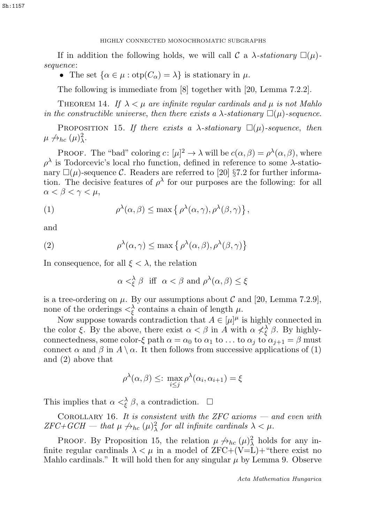# HIGHLY CONNECTED MONOCHROMATIC SUBGRAPHS 7 HIGHLY CONNECTED MONOCHROMATIC SUBGRAPHS 7

If in addition the following holds, we will call C a  $\lambda$ -stationary  $\square(\mu)$ sequence:

• The set  $\{\alpha \in \mu : \text{otp}(C_{\alpha}) = \lambda\}$  is stationary in  $\mu$ .

The following is immediate from [8] together with [20, Lemma 7.2.2].

THEOREM 14. If  $\lambda < \mu$  are infinite regular cardinals and  $\mu$  is not Mahlo in the constructible universe, then there exists a  $\lambda$ -stationary  $\square(\mu)$ -sequence.

PROPOSITION 15. If there exists a  $\lambda$ -stationary  $\square(\mu)$ -sequence, then  $\mu \not\rightarrow_{hc} (\mu)^2_{\lambda}.$ 

PROOF. The "bad" coloring  $c: [\mu]^2 \to \lambda$  will be  $c(\alpha, \beta) = \rho^{\lambda}(\alpha, \beta)$ , where  $ρ<sup>λ</sup>$  is Todorcevic's local rho function, defined in reference to some  $λ$ -stationary  $\square(\mu)$ -sequence C. Readers are referred to [20] §7.2 for further information. The decisive features of  $\rho^{\lambda}$  for our purposes are the following: for all  $\alpha < \beta < \gamma < \mu$ ,

(1) 
$$
\rho^{\lambda}(\alpha,\beta) \leq \max\left\{ \rho^{\lambda}(\alpha,\gamma), \rho^{\lambda}(\beta,\gamma) \right\},
$$

and

(2) 
$$
\rho^{\lambda}(\alpha,\gamma) \leq \max \left\{ \rho^{\lambda}(\alpha,\beta), \rho^{\lambda}(\beta,\gamma) \right\}
$$

In consequence, for all  $\xi < \lambda$ , the relation

$$
\alpha <^{\lambda}_{\xi} \beta \ \ \textrm{iff} \ \ \alpha < \beta \ \textrm{and} \ \rho^{\lambda}(\alpha,\beta) \leq \xi
$$

is a tree-ordering on  $\mu$ . By our assumptions about C and [20, Lemma 7.2.9], none of the orderings  $\langle \xi \rangle$  contains a chain of length  $\mu$ .

Now suppose towards contradiction that  $A \in [\mu]^{\mu}$  is highly connected in the color  $\xi$ . By the above, there exist  $\alpha < \beta$  in A with  $\alpha \nless \xi$ ,  $\beta$ . By highlyconnectedness, some color-ξ path  $\alpha = \alpha_0$  to  $\alpha_1$  to ... to  $\alpha_j$  to  $\alpha_{j+1} = \beta$  must connect  $\alpha$  and  $\beta$  in  $A \setminus \alpha$ . It then follows from successive applications of (1) and (2) above that

$$
\rho^{\lambda}(\alpha,\beta) \leq: \max_{i \leq j} \rho^{\lambda}(\alpha_i,\alpha_{i+1}) = \xi
$$

This implies that  $\alpha <^{\lambda}_{\xi} \beta$ , a contradiction.  $\Box$ 

COROLLARY 16. It is consistent with the ZFC axioms — and even with  $ZFC+GCH$  — that  $\mu \nrightarrow_{hc} (\mu)^2_{\lambda}$  for all infinite cardinals  $\lambda < \mu$ .

PROOF. By Proposition 15, the relation  $\mu \nrightarrow_{hc} (\mu)^2_{\lambda}$  holds for any infinite regular cardinals  $\lambda < \mu$  in a model of ZFC+(V=L)+ "there exist no Mahlo cardinals." It will hold then for any singular  $\mu$  by Lemma 9. Observe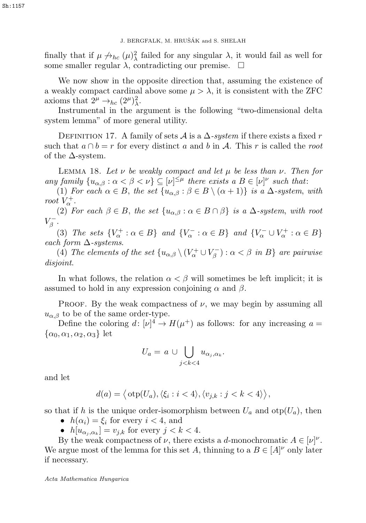finally that if  $\mu \nrightarrow_{hc} (\mu)^2_{\lambda}$  failed for any singular  $\lambda$ , it would fail as well for some smaller regular  $\lambda$ , contradicting our premise.  $\Box$ 

We now show in the opposite direction that, assuming the existence of a weakly compact cardinal above some  $\mu > \lambda$ , it is consistent with the ZFC axioms that  $2^{\mu} \rightarrow_{hc} (2^{\mu})^2_{\lambda}$ . 3. BERGFALK, M. HRUSÁK and S. SHELAH<br>
Some smaller  $\mathbf{r} \neq p_{\text{obs}}( \mu) \frac{q}{2}$  failed for any singular  $\lambda$ , it is consistend to the expansible direction that, assume that a 2<sup>4</sup>- $\lambda$ , contradicting our premise.  $\Box$ <br>
W

Instrumental in the argument is the following "two-dimensional delta system lemma" of more general utility.

DEFINITION 17. A family of sets  $\mathcal A$  is a  $\Delta$ -system if there exists a fixed r such that  $a \cap b = r$  for every distinct a and b in A. This r is called the root of the  $\Delta$ -system.

LEMMA 18. Let  $\nu$  be weakly compact and let  $\mu$  be less than  $\nu$ . Then for any family  $\{u_{\alpha,\beta} : \alpha < \beta < \nu\} \subseteq [\nu]^{\leq \mu}$  there exists a  $B \in [\nu]^{\nu}$  such that:

(1) For each  $\alpha \in B$ , the set  $\{u_{\alpha,\beta} : \beta \in B \setminus (\alpha + 1)\}\$ is a  $\Delta$ -system, with root  $V_{\alpha}^{+}$ .

(2) For each  $\beta \in B$ , the set  $\{u_{\alpha,\beta} : \alpha \in B \cap \beta\}$  is a  $\Delta$ -system, with root  $V_{\beta}^{-}$ .

(3) The sets  $\{V_{\alpha}^+ : \alpha \in B\}$  and  $\{V_{\alpha}^- : \alpha \in B\}$  and  $\{V_{\alpha}^- \cup V_{\alpha}^+ : \alpha \in B\}$ each form  $\Delta$ -systems.

(4) The elements of the set  $\{u_{\alpha,\beta}\setminus (V_\alpha^+\cup V_\beta^-): \alpha<\beta \}$  are pairwise disjoint.

In what follows, the relation  $\alpha < \beta$  will sometimes be left implicit; it is assumed to hold in any expression conjoining  $\alpha$  and  $\beta$ .

PROOF. By the weak compactness of  $\nu$ , we may begin by assuming all  $u_{\alpha,\beta}$  to be of the same order-type.

Define the coloring  $d: [\nu]^4 \to H(\mu^+)$  as follows: for any increasing  $a =$  $\{\alpha_0, \alpha_1, \alpha_2, \alpha_3\}$  let

$$
U_a = a \cup \bigcup_{j < k < 4} u_{\alpha_j, \alpha_k}.
$$

and let

$$
d(a) = \left\langle \text{otp}(U_a), \langle \xi_i : i < 4 \rangle, \langle v_{j,k} : j < k < 4 \rangle \right\rangle,
$$

so that if h is the unique order-isomorphism between  $U_a$  and  $otp(U_a)$ , then

- $h(\alpha_i) = \xi_i$  for every  $i < 4$ , and
- $h[u_{\alpha_i,\alpha_k}] = v_{j,k}$  for every  $j < k < 4$ .

By the weak compactness of  $\nu$ , there exists a d-monochromatic  $A \in [\nu]^{\nu}$ . We argue most of the lemma for this set A, thinning to a  $B \in [A]^{\nu}$  only later if necessary.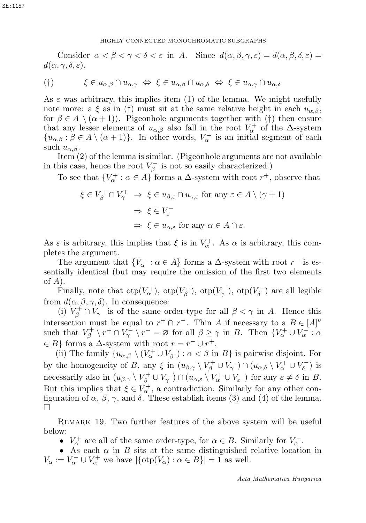# HIGHLY CONNECTED MONOCHROMATIC SUBGRAPHS 9 HIGHLY CONNECTED MONOCHROMATIC SUBGRAPHS 9

Consider  $\alpha < \beta < \gamma < \delta < \varepsilon$  in A. Since  $d(\alpha, \beta, \gamma, \varepsilon) = d(\alpha, \beta, \delta, \varepsilon) =$  $d(\alpha, \gamma, \delta, \varepsilon),$ 

$$
(\dagger) \qquad \qquad \xi \in u_{\alpha,\beta} \cap u_{\alpha,\gamma} \iff \xi \in u_{\alpha,\beta} \cap u_{\alpha,\delta} \iff \xi \in u_{\alpha,\gamma} \cap u_{\alpha,\delta}
$$

As  $\varepsilon$  was arbitrary, this implies item (1) of the lemma. We might usefully note more: a ξ as in (†) must sit at the same relative height in each  $u_{\alpha\beta}$ , for  $\beta \in A \setminus (\alpha + 1)$ . Pigeonhole arguments together with (†) then ensure that any lesser elements of  $u_{\alpha,\beta}$  also fall in the root  $V^+_{\alpha}$  of the  $\Delta$ -system  $\{u_{\alpha,\beta} : \beta \in A \setminus (\alpha+1)\}.$  In other words,  $V_{\alpha}^+$  is an initial segment of each such  $u_{\alpha,\beta}$ .

Item (2) of the lemma is similar. (Pigeonhole arguments are not available in this case, hence the root  $V_\beta^-$  is not so easily characterized.)

To see that  $\{V^+_{\alpha} : \alpha \in A\}$  forms a  $\Delta$ -system with root  $r^+$ , observe that

$$
\xi \in V_{\beta}^{+} \cap V_{\gamma}^{+} \Rightarrow \xi \in u_{\beta,\varepsilon} \cap u_{\gamma,\varepsilon} \text{ for any } \varepsilon \in A \setminus (\gamma + 1)
$$

$$
\Rightarrow \xi \in V_{\varepsilon}^{-}
$$

$$
\Rightarrow \xi \in u_{\alpha,\varepsilon} \text{ for any } \alpha \in A \cap \varepsilon.
$$

As  $\varepsilon$  is arbitrary, this implies that  $\xi$  is in  $V_{\alpha}^{+}$ . As  $\alpha$  is arbitrary, this completes the argument.

The argument that  $\{V_{\alpha}^- : \alpha \in A\}$  forms a  $\Delta$ -system with root  $r^-$  is essentially identical (but may require the omission of the first two elements of  $A$ ).

Finally, note that  $otp(V^+_{\alpha})$ ,  $otp(V^+_{\beta})$ ,  $otp(V^-_{\gamma})$ ,  $otp(V^-_{\delta})$  are all legible from  $d(\alpha, \beta, \gamma, \delta)$ . In consequence:

(i)  $V_\beta^+ \cap V_\gamma^-$  is of the same order-type for all  $\beta < \gamma$  in A. Hence this intersection must be equal to  $r^+ \cap r^-$ . Thin A if necessary to a  $B \in [A]^{\nu}$ such that  $V_{\beta}^+ \setminus r^+ \cap V_{\gamma}^- \setminus r^- = \varnothing$  for all  $\beta \ge \gamma$  in B. Then  $\{V_{\alpha}^+ \cup V_{\alpha}^- : \alpha\}$  $\in B$ } forms a  $\Delta$ -system with root  $r = r^- \cup r^+$ .

(ii) The family  $\{u_{\alpha,\beta} \setminus (V_\alpha^+ \cup V_\beta^-) : \alpha < \beta \text{ in } B\}$  is pairwise disjoint. For by the homogeneity of B, any  $\xi$  in  $(u_{\beta,\gamma} \setminus V_\beta^+ \cup V_\gamma^-) \cap (u_{\alpha,\delta} \setminus V_\alpha^+ \cup V_\delta^-)$  is necessarily also in  $(u_{\beta,\gamma} \setminus V_\beta^+ \cup V_\gamma^-) \cap (u_{\alpha,\varepsilon} \setminus V_\alpha^+ \cup V_\varepsilon^-)$  for any  $\varepsilon \neq \delta$  in B. But this implies that  $\xi \in V_{\alpha}^{+}$ , a contradiction. Similarly for any other configuration of  $\alpha$ ,  $\beta$ ,  $\gamma$ , and  $\delta$ . These establish items (3) and (4) of the lemma.  $\Box$ 

Remark 19. Two further features of the above system will be useful below:

•  $V_{\alpha}^{+}$  are all of the same order-type, for  $\alpha \in B$ . Similarly for  $V_{\alpha}^{-}$ .

• As each  $\alpha$  in  $B$  sits at the same distinguished relative location in  $V_{\alpha} := V_{\alpha}^- \cup V_{\alpha}^+$  we have  $|\{\text{otp}(V_{\alpha}) : \alpha \in B\}| = 1$  as well.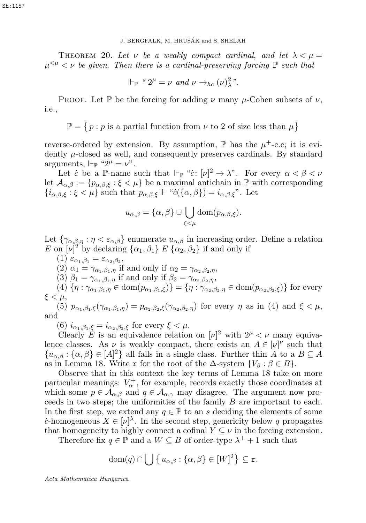#### J. BERGFALK, M. HRUŠÁK and S. SHELAH

THEOREM 20. Let  $\nu$  be a weakly compact cardinal, and let  $\lambda < \mu =$  $\mu^{<\mu} < \nu$  be given. Then there is a cardinal-preserving forcing  $\mathbb P$  such that

$$
\Vdash_{\mathbb{P}} \text{`` } 2^{\mu} = \nu \text{ and } \nu \rightarrow_{hc} (\nu)^2 \text{''}.
$$

PROOF. Let P be the forcing for adding  $\nu$  many  $\mu$ -Cohen subsets of  $\nu$ , i.e.,

 $\mathbb{P} = \{ p : p \text{ is a partial function from } \nu \text{ to } 2 \text{ of size less than } \mu \}$ 

reverse-ordered by extension. By assumption,  $\mathbb P$  has the  $\mu^+$ -c.c; it is evidently µ-closed as well, and consequently preserves cardinals. By standard arguments,  $\Vdash_{\mathbb{P}}$  " $2^{\mu} = \nu$ ".

Let *c* be a P-name such that  $\Vdash_{\mathbb{P}}$  "*c*:  $[\nu]^2 \to \lambda$ ". For every  $\alpha < \beta < \nu$ let  $\mathcal{A}_{\alpha,\beta} := \{p_{\alpha,\beta,\xi} : \xi \leq \mu\}$  be a maximal antichain in  $\mathbb P$  with corresponding  ${i_{\alpha,\beta,\xi}:\xi<\mu}$  such that  $p_{\alpha,\beta,\xi} \Vdash "c(\{\alpha,\beta\}) = i_{\alpha,\beta,\xi}$ ". Let

$$
u_{\alpha,\beta} = {\alpha, \beta} \cup \bigcup_{\xi < \mu} \text{dom}(p_{\alpha,\beta,\xi}).
$$

Let  $\{\gamma_{\alpha,\beta,\eta} : \eta < \varepsilon_{\alpha,\beta}\}\$ enumerate  $u_{\alpha,\beta}$  in increasing order. Define a relation E on  $[\nu]^2$  by declaring  $\{\alpha_1,\beta_1\} \mathbb{E} \{\alpha_2,\beta_2\}$  if and only if

(1)  $\varepsilon_{\alpha_1,\beta_1} = \varepsilon_{\alpha_2,\beta_2},$ (2)  $\alpha_1 = \gamma_{\alpha_1,\beta_1,\eta}$  if and only if  $\alpha_2 = \gamma_{\alpha_2,\beta_2,\eta}$ , (3)  $\beta_1 = \gamma_{\alpha_1,\beta_1,\eta}$  if and only if  $\beta_2 = \gamma_{\alpha_2,\beta_2,\eta}$ , (4)  $\{\eta : \gamma_{\alpha_1,\beta_1,\eta} \in \text{dom}(p_{\alpha_1,\beta_1,\xi})\} = \{\eta : \gamma_{\alpha_2,\beta_2,\eta} \in \text{dom}(p_{\alpha_2,\beta_2,\xi})\}$  for every  $\xi < \mu$ , (5)  $p_{\alpha_1,\beta_1,\xi}(\gamma_{\alpha_1,\beta_1,\eta}) = p_{\alpha_2,\beta_2,\xi}(\gamma_{\alpha_2,\beta_2,\eta})$  for every  $\eta$  as in (4) and  $\xi < \mu$ ,

and

(6)  $i_{\alpha_1,\beta_1,\xi} = i_{\alpha_2,\beta_2,\xi}$  for every  $\xi < \mu$ .

Clearly E is an equivalence relation on  $[\nu]^2$  with  $2^{\mu} < \nu$  many equivalence classes. As  $\nu$  is weakly compact, there exists an  $A \in [\nu]^{\nu}$  such that  $\{u_{\alpha,\beta} : \{\alpha,\beta\} \in [A]^2\}$  all falls in a single class. Further thin A to a  $B \subseteq A$ as in Lemma 18. Write r for the root of the  $\Delta$ -system  $\{V_\beta : \beta \in B\}$ .

Observe that in this context the key terms of Lemma 18 take on more particular meanings:  $V^{\dagger}_{\alpha}$ , for example, records exactly those coordinates at which some  $p \in A_{\alpha,\beta}$  and  $q \in A_{\alpha,\gamma}$  may disagree. The argument now proceeds in two steps; the uniformities of the family B are important to each. In the first step, we extend any  $q \in \mathbb{P}$  to an s deciding the elements of some c-homogeneous  $X \in [\nu]^{\lambda}$ . In the second step, genericity below q propagates that homogeneity to highly connect a cofinal  $Y \subseteq \nu$  in the forcing extension. 3. BERGFALK, M. HRUSÁK and S. SHELAH<br>  $\mu^{<\mu}<\nu$  be given. Then there is a cavelably compact cardinal<br>  $\mu^{<\mu}<\nu$  be given. Then there is a caveland-preserving<br>
Fro  $\mu^{<\mu}<\nu$  be given. Then there is a cavelinal-preser

Therefore fix  $q \in \mathbb{P}$  and a  $W \subseteq B$  of order-type  $\lambda^+ + 1$  such that

dom(q) 
$$
\cap \bigcup \{u_{\alpha,\beta} : \{\alpha,\beta\} \in [W]^2\} \subseteq \mathbf{r}
$$
.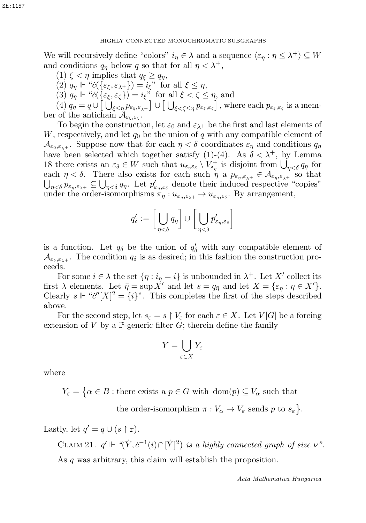We will recursively define "colors"  $i_n \in \lambda$  and a sequence  $\langle \varepsilon_n : \eta \leq \lambda^+ \rangle \subseteq W$ and conditions  $q_n$  below q so that for all  $\eta < \lambda^+$ ,

(1)  $\xi < \eta$  implies that  $q_{\xi} \geq q_{\eta}$ ,

(2)  $q_{\eta} \Vdash "c(\{\varepsilon_{\xi}, \varepsilon_{\lambda^+}\}) = i_{\xi}"$  for all  $\xi \leq \eta$ ,

(3)  $q_{\eta} \Vdash "c(\{\varepsilon_{\xi}, \varepsilon_{\zeta}\}) = i_{\xi}"$  for all  $\xi < \zeta \leq \eta$ , and

(4)  $q_{\eta} = q \cup \left[ \bigcup_{\xi \leq \eta} p_{\varepsilon_{\xi},\varepsilon_{\lambda^+}} \right] \cup \left[ \bigcup_{\xi < \zeta \leq \eta} p_{\varepsilon_{\xi},\varepsilon_{\zeta}} \right]$ , where each  $p_{\varepsilon_{\xi},\varepsilon_{\zeta}}$  is a member of the antichain  $\mathcal{A}_{\varepsilon_{\varepsilon},\varepsilon_{\varepsilon}}$ .

To begin the construction, let  $\varepsilon_0$  and  $\varepsilon_{\lambda+}$  be the first and last elements of W, respectively, and let  $q_0$  be the union of q with any compatible element of  $\mathcal{A}_{\varepsilon_0,\varepsilon_1+}$ . Suppose now that for each  $\eta < \delta$  coordinates  $\varepsilon_\eta$  and conditions  $q_\eta$ have been selected which together satisfy (1)-(4). As  $\delta < \lambda^+$ , by Lemma 18 there exists an  $\varepsilon_{\delta} \in W$  such that  $u_{\varepsilon_{\eta} \varepsilon_{\delta}} \setminus V_{\varepsilon_{\eta}}^+$  is disjoint from  $\bigcup_{\eta < \delta} q_{\eta}$  for each  $\eta < \delta$ . There also exists for each such  $\eta$  a  $p_{\varepsilon_\eta,\varepsilon_{\lambda^+}} \in \mathcal{A}_{\varepsilon_\eta,\varepsilon_{\lambda^+}}$  so that  $\bigcup_{\eta<\delta} p_{\varepsilon_\eta,\varepsilon_{\lambda^+}}\subseteq \bigcup_{\eta<\delta} q_\eta$ . Let  $p'_{\varepsilon_\eta,\varepsilon_\delta}$  denote their induced respective "copies" under the order-isomorphisms  $\pi_{\eta}: u_{\varepsilon_{\eta}, \varepsilon_{\lambda^+}} \to u_{\varepsilon_{\eta}, \varepsilon_{\delta}}$ . By arrangement,

$$
q'_\delta := \bigg[\bigcup_{\eta < \delta} q_\eta \bigg] \cup \bigg[\bigcup_{\eta < \delta} p'_{\varepsilon_\eta, \varepsilon_\delta}\bigg]
$$

is a function. Let  $q_\delta$  be the union of  $q'_\delta$  with any compatible element of  $\mathcal{A}_{\varepsilon_{\delta},\varepsilon_{\delta,+}}$ . The condition  $q_{\delta}$  is as desired; in this fashion the construction proceeds.

For some  $i \in \lambda$  the set  $\{\eta : i_{\eta} = i\}$  is unbounded in  $\lambda^{+}$ . Let X' collect its first  $\lambda$  elements. Let  $\bar{\eta} = \sup X'$  and let  $s = q_{\bar{\eta}}$  and let  $X = {\varepsilon_{\eta} : \eta \in X'}$ . Clearly  $s \Vdash "c''[X]^2 = \{i\}$ ". This completes the first of the steps described above.

For the second step, let  $s_{\varepsilon} = s \restriction V_{\varepsilon}$  for each  $\varepsilon \in X$ . Let  $V[G]$  be a forcing extension of V by a  $\mathbb{P}$ -generic filter G; therein define the family

$$
Y = \bigcup_{\varepsilon \in X} Y_{\varepsilon}
$$

where

 $Y_{\varepsilon} = \{ \alpha \in B : \text{there exists a } p \in G \text{ with } \text{dom}(p) \subseteq V_{\alpha} \text{ such that }$ 

the order-isomorphism  $\pi : V_\alpha \to V_\varepsilon$  sends p to  $s_\varepsilon$ .

Lastly, let  $q' = q \cup (s \restriction r)$ .

CLAIM 21.  $q' \Vdash \text{``}(\dot{Y}, \dot{c}^{-1}(i) \cap [\dot{Y}]^2)$  is a highly connected graph of size  $\nu$ ". As q was arbitrary, this claim will establish the proposition.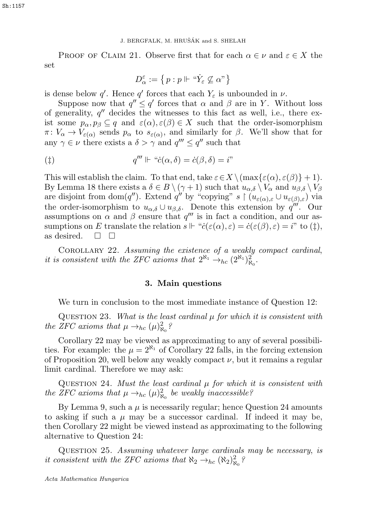#### 1. BERGFALK, M. HRUŠÁK and S. SHELAH

PROOF OF CLAIM 21. Observe first that for each  $\alpha \in \nu$  and  $\varepsilon \in X$  the set

$$
D_\alpha^\varepsilon:=\left\{\,p: p\Vdash\, \text{``}\dot Y_\varepsilon\not\subseteq\alpha\text{''}\right\}
$$

is dense below q'. Hence q' forces that each  $Y_{\varepsilon}$  is unbounded in  $\nu$ .

Suppose now that  $q'' \le q'$  forces that  $\alpha$  and  $\beta$  are in Y. Without loss of generality,  $q''$  decides the witnesses to this fact as well, i.e., there exist some  $p_{\alpha}, p_{\beta} \subseteq q$  and  $\varepsilon(\alpha), \varepsilon(\beta) \in X$  such that the order-isomorphism  $\pi: V_{\alpha} \to V_{\varepsilon(\alpha)}$  sends  $p_{\alpha}$  to  $s_{\varepsilon(\alpha)}$ , and similarly for  $\beta$ . We'll show that for any  $\gamma \in \nu$  there exists a  $\delta > \gamma$  and  $q''' \leq q''$  such that

$$
q''' \Vdash "c(\alpha, \delta) = \dot{c}(\beta, \delta) = i"
$$

This will establish the claim. To that end, take  $\varepsilon \in X \setminus (\max\{\varepsilon(\alpha), \varepsilon(\beta)\} + 1)$ . By Lemma 18 there exists a  $\delta \in B \setminus (\gamma + 1)$  such that  $u_{\alpha,\delta} \setminus V_{\alpha}$  and  $u_{\beta,\delta} \setminus V_{\beta}$ are disjoint from dom(q''). Extend q'' by "copying" s  $\upharpoonright (u_{\varepsilon(\alpha),\varepsilon} \cup u_{\varepsilon(\beta),\varepsilon})$  via the order-isomorphism to  $u_{\alpha\delta} \cup u_{\beta\delta}$ . Denote this extension by  $q^{\prime\prime\prime}$ . Our assumptions on  $\alpha$  and  $\beta$  ensure that  $q'''$  is in fact a condition, and our assumptions on E translate the relation  $s \Vdash "c(\varepsilon(\alpha), \varepsilon) = \dot{c}(\varepsilon(\beta), \varepsilon) = i"$  to (†), as desired.  $\Box$   $\Box$ Acta Mathematica Hungarica12 J. BERGFALK, M. HRUSˇÁK and S. SHELAH

COROLLARY 22. Assuming the existence of a weakly compact cardinal, it is consistent with the ZFC axioms that  $2^{\aleph_1} \rightarrow_{hc} (2^{\aleph_1})^2_{\aleph_0}$ .

#### 3. Main questions

We turn in conclusion to the most immediate instance of Question 12:

QUESTION 23. What is the least cardinal  $\mu$  for which it is consistent with the ZFC axioms that  $\mu \rightarrow_{hc} (\mu)^2_{\aleph_0}$ ?

Corollary 22 may be viewed as approximating to any of several possibilities. For example: the  $\mu = 2^{\aleph_1}$  of Corollary 22 falls, in the forcing extension of Proposition 20, well below any weakly compact  $\nu$ , but it remains a regular limit cardinal. Therefore we may ask:

QUESTION 24. Must the least cardinal  $\mu$  for which it is consistent with the ZFC axioms that  $\mu \rightarrow_{hc} (\mu)^2_{\aleph_0}$  be weakly inaccessible?

By Lemma 9, such a  $\mu$  is necessarily regular; hence Question 24 amounts to asking if such a  $\mu$  may be a successor cardinal. If indeed it may be, then Corollary 22 might be viewed instead as approximating to the following alternative to Question 24:

QUESTION 25. Assuming whatever large cardinals may be necessary, is it consistent with the ZFC axioms that  $\aleph_2 \rightarrow_{hc} (\aleph_2)_{\aleph_0}^2$ ?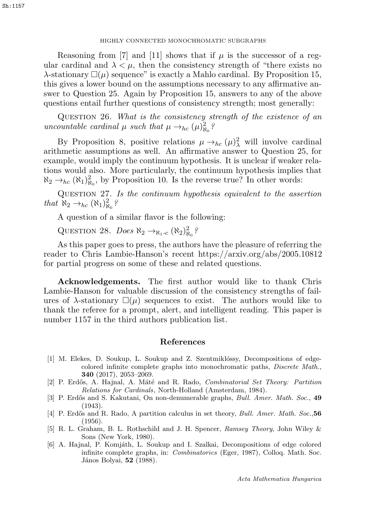# HIGHLY CONNECTED MONOCHROMATIC SUBGRAPHS 13 HIGHLY CONNECTED MONOCHROMATIC SUBGRAPHS 13

Reasoning from [7] and [11] shows that if  $\mu$  is the successor of a regular cardinal and  $\lambda < \mu$ , then the consistency strength of "there exists no  $\lambda$ -stationary  $\square(\mu)$  sequence" is exactly a Mahlo cardinal. By Proposition 15, this gives a lower bound on the assumptions necessary to any affirmative answer to Question 25. Again by Proposition 15, answers to any of the above questions entail further questions of consistency strength; most generally:

Question 26. What is the consistency strength of the existence of an uncountable cardinal  $\mu$  such that  $\mu \rightarrow_{hc} (\mu)^2_{\aleph_0}$ ?

By Proposition 8, positive relations  $\mu \to_{hc} (\mu)^2_\lambda$  will involve cardinal arithmetic assumptions as well. An affirmative answer to Question 25, for example, would imply the continuum hypothesis. It is unclear if weaker relations would also. More particularly, the continuum hypothesis implies that  $\aleph_2 \rightarrow_{hc} (\aleph_1)_{\aleph_0}^2$ , by Proposition 10. Is the reverse true? In other words:

Question 27. Is the continuum hypothesis equivalent to the assertion that  $\aleph_2 \rightarrow_{hc} (\aleph_1)^2_{\aleph_0}$ ?

A question of a similar flavor is the following:

QUESTION 28. Does  $\aleph_2 \rightarrow_{\aleph_1-c} (\aleph_2)^2_{\aleph_0}$ ?

As this paper goes to press, the authors have the pleasure of referring the reader to Chris Lambie-Hanson's recent https://arxiv.org/abs/2005.10812 for partial progress on some of these and related questions.

Acknowledgements. The first author would like to thank Chris Lambie-Hanson for valuable discussion of the consistency strengths of failures of  $\lambda$ -stationary  $\square(\mu)$  sequences to exist. The authors would like to thank the referee for a prompt, alert, and intelligent reading. This paper is number 1157 in the third authors publication list.

### References

- [1] M. Elekes, D. Soukup, L. Soukup and Z. Szentmiklóssy, Decompositions of edgecolored infinite complete graphs into monochromatic paths, *Discrete Math.*, 340 (2017), 2053–2069.
- [2] P. Erd˝os, A. Hajnal, A. M´at´e and R. Rado, *Combinatorial Set Theory: Partition Relations for Cardinals*, North-Holland (Amsterdam, 1984).
- [3] P. Erdős and S. Kakutani, On non-denumerable graphs, *Bull. Amer. Math. Soc.*, 49 (1943).
- [4] P. Erd˝os and R. Rado, A partition calculus in set theory, *Bull. Amer. Math. Soc.*,56 (1956).
- [5] R. L. Graham, B. L. Rothschild and J. H. Spencer, *Ramsey Theory*, John Wiley & Sons (New York, 1980).
- [6] A. Hajnal, P. Komjáth, L. Soukup and I. Szalkai, Decompositions of edge colored infinite complete graphs, in: *Combinatorics* (Eger, 1987), Colloq. Math. Soc. János Bolyai, **52** (1988).